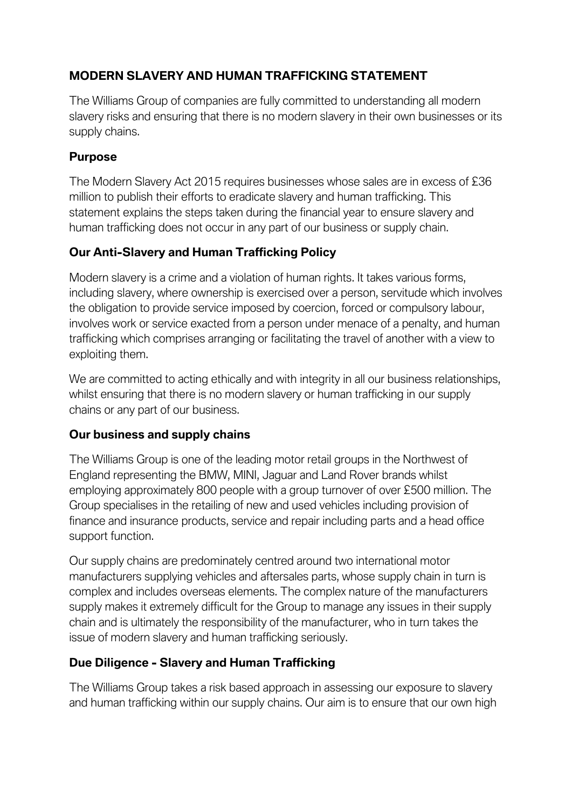# **MODERN SLAVERY AND HUMAN TRAFFICKING STATEMENT**

The Williams Group of companies are fully committed to understanding all modern slavery risks and ensuring that there is no modern slavery in their own businesses or its supply chains.

#### **Purpose**

The Modern Slavery Act 2015 requires businesses whose sales are in excess of £36 million to publish their efforts to eradicate slavery and human trafficking. This statement explains the steps taken during the financial year to ensure slavery and human trafficking does not occur in any part of our business or supply chain.

## **Our Anti-Slavery and Human Trafficking Policy**

Modern slavery is a crime and a violation of human rights. It takes various forms, including slavery, where ownership is exercised over a person, servitude which involves the obligation to provide service imposed by coercion, forced or compulsory labour, involves work or service exacted from a person under menace of a penalty, and human trafficking which comprises arranging or facilitating the travel of another with a view to exploiting them.

We are committed to acting ethically and with integrity in all our business relationships, whilst ensuring that there is no modern slavery or human trafficking in our supply chains or any part of our business.

## **Our business and supply chains**

The Williams Group is one of the leading motor retail groups in the Northwest of England representing the BMW, MINI, Jaguar and Land Rover brands whilst employing approximately 800 people with a group turnover of over £500 million. The Group specialises in the retailing of new and used vehicles including provision of finance and insurance products, service and repair including parts and a head office support function.

Our supply chains are predominately centred around two international motor manufacturers supplying vehicles and aftersales parts, whose supply chain in turn is complex and includes overseas elements. The complex nature of the manufacturers supply makes it extremely difficult for the Group to manage any issues in their supply chain and is ultimately the responsibility of the manufacturer, who in turn takes the issue of modern slavery and human trafficking seriously.

## **Due Diligence - Slavery and Human Trafficking**

The Williams Group takes a risk based approach in assessing our exposure to slavery and human trafficking within our supply chains. Our aim is to ensure that our own high